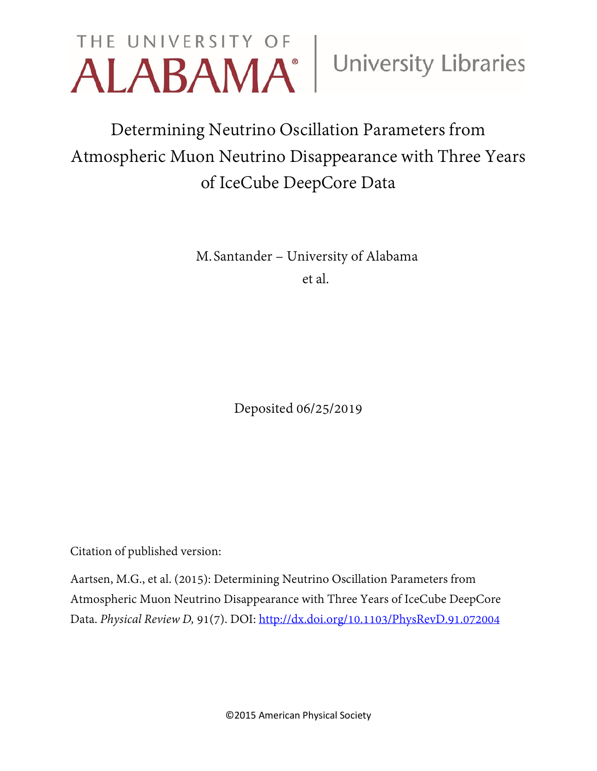# THE UNIVERSITY OF University Libraries

## Determining Neutrino Oscillation Parameters from Atmospheric Muon Neutrino Disappearance with Three Years of IceCube DeepCore Data

M.Santander – University of Alabama et al.

Deposited 06/25/2019

Citation of published version:

Aartsen, M.G., et al. (2015): Determining Neutrino Oscillation Parameters from Atmospheric Muon Neutrino Disappearance with Three Years of IceCube DeepCore Data. *Physical Review D,* 91(7). DOI:<http://dx.doi.org/10.1103/PhysRevD.91.072004>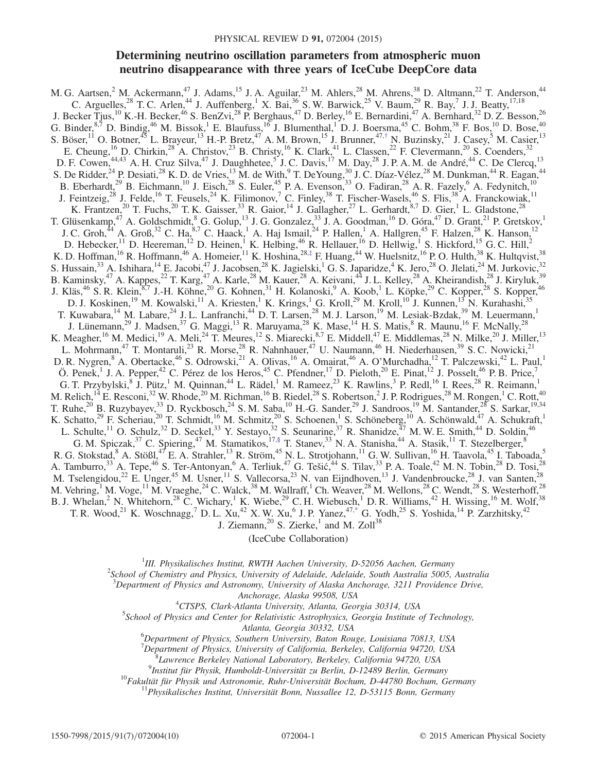### Determining neutrino oscillation parameters from atmospheric muon neutrino disappearance with three years of IceCube DeepCore data

<span id="page-1-3"></span><span id="page-1-1"></span>M. G. Aartsen,<sup>2</sup> M. Ackermann,<sup>47</sup> J. Adams,<sup>15</sup> J. A. Aguilar,<sup>23</sup> M. Ahlers,<sup>28</sup> M. Ahrens,<sup>38</sup> D. Altmann,<sup>22</sup> T. Anderson,<sup>44</sup> C. Arguelles,<sup>28</sup> T. C. Arlen,<sup>44</sup> J. Auffenberg,<sup>1</sup> X. Bai,<sup>36</sup> S. W. Barwick,<sup>25</sup> V. Baum,<sup>29</sup> R. Bay,<sup>7</sup> J. J. Beatty,<sup>17,18</sup> J. Becker Tjus,<sup>10</sup> K.-H. Becker,<sup>46</sup> S. BenZvi,<sup>28</sup> P. Berghaus,<sup>47</sup> D. Berley,<sup>16</sup> E. Bernardini,<sup>47</sup> A. Bernhard,<sup>32</sup> D. Z. Besson,<sup>26</sup> G. Binder,  $8.7$  D. Bindig,  $46$  M. Bissok,<sup>1</sup> E. Blaufuss,  $16$  J. Blumenthal,  $1$  D. J. Boersma,  $45$  C. Bohm,  $38$  F. Bos,  $10$  D. Bose,  $40$ S. Böser,  $^{11}$  O. Botner,  $^{45}$  L. Brayeur,  $^{13}$  H.-P. Bretz,  $^{47}$  A. M. Brown,  $^{15}$  J. Brunner,  $^{47, \dagger}$  N. Buzinsky,  $^{21}$  J. Casey,  $^{5}$  M. Casier,  $^{13}$ E. Cheung,<sup>16</sup> D. Chirkin,<sup>28</sup> A. Christov,<sup>23</sup> B. Christy,<sup>16</sup> K. Clark,<sup>41</sup> L. Classen,<sup>22</sup> F. Clevermann,<sup>20</sup> S. Coenders,<sup>32</sup> D. F. Cowen,<sup>44,43</sup> A. H. Cruz Silva,<sup>47</sup> J. Daughhetee,<sup>5</sup> J. C. Davis,<sup>17</sup> M. Day,<sup>28</sup> J. P. A. M. de André,<sup>44</sup> C. De Clercq,<sup>13</sup> S. De Ridder,  $^{24}$  P. Desiati,  $^{28}$  K. D. de Vries,  $^{13}$  M. de With,  $^{9}$  T. DeYoung,  $^{30}$  J. C. Díaz-Vélez,  $^{28}$  M. Dunkman,  $^{44}$  R. Eagan,  $^{44}$ B. Eberhardt,<sup>29</sup> B. Eichmann,<sup>10</sup> J. Eisch,<sup>28</sup> S. Euler,<sup>45</sup> P. A. Evenson,<sup>33</sup> O. Fadiran,<sup>28</sup> A. R. Fazely,<sup>6</sup> A. Fedynitch,<sup>10</sup> J. Feintzeig,<sup>28</sup> J. Felde,<sup>16</sup> T. Feusels,<sup>24</sup> K. Filimonov,<sup>7</sup> C. Finley,<sup>38</sup> T. Fischer-Wasels,<sup>46</sup> S. Flis,<sup>38</sup> A. Franckowiak,<sup>11</sup> K. Frantzen,<sup>20</sup> T. Fuchs,<sup>20</sup> T. K. Gaisser,<sup>33</sup> R. Gaior,<sup>14</sup> J. Gallagher,<sup>27</sup> L. Gerhardt,<sup>8,7</sup> D. Gier,<sup>1</sup> L. Gladstone,<sup>28</sup> T. Glüsenkamp,<sup>47</sup> A. Goldschmidt,<sup>8</sup> G. Golup,<sup>13</sup> J. G. Gonzalez,<sup>33</sup> J. A. Goodman,<sup>16</sup> D. Góra,<sup>47</sup> D. Grant,<sup>21</sup> P. Gretskov,<sup>1</sup> J. C. Groh,  $^{44}$  A. Groß,  $^{32}$  C. Ha,  $^{8,7}$  C. Haack,  $^1$  A. Haj Ismail,  $^{24}$  P. Hallen,  $^1$  A. Hallgren,  $^{45}$  F. Halzen,  $^{28}$  K. Hanson,  $^{12}$ D. Hebecker,<sup>11</sup> D. Heereman,<sup>12</sup> D. Heinen,<sup>1</sup> K. Helbing,<sup>46</sup> R. Hellauer,<sup>16</sup> D. Hellwig,<sup>1</sup> S. Hickford,<sup>15</sup> G. C. Hill,<sup>2</sup> K. D. Hoffman,<sup>16</sup> R. Hoffmann,<sup>46</sup> A. Homeier,<sup>11</sup> K. Hoshina,<sup>28,[‡](#page-2-1)</sup> F. Huang,<sup>44</sup> W. Huelsnitz,<sup>16</sup> P. O. Hulth,<sup>38</sup> K. Hultqvist,<sup>38</sup> S. Hussain,<sup>33</sup> A. Ishihara,<sup>14</sup> E. Jacobi,<sup>47</sup> J. Jacobsen,<sup>28</sup> K. Jagielski,<sup>1</sup> G. S. Japaridze,<sup>4</sup> K. Jero,<sup>28</sup> O. Jlelati,<sup>24</sup> M. Jurkovic,<sup>32</sup> B. Kaminsky,<sup>47</sup> A. Kappes,<sup>22</sup> T. Karg,<sup>47</sup> A. Karle,<sup>28</sup> M. Kauer,<sup>28</sup> A. Keivani,<sup>44</sup> J. L. Kelley,<sup>28</sup> A. Kheirandish,<sup>28</sup> J. Kiryluk,<sup>39</sup> J. Kläs,<sup>46</sup> S. R. Klein,<sup>8,7</sup> J.-H. Köhne,<sup>20</sup> G. Kohnen,<sup>31</sup> H. Kolanoski,<sup>9</sup> A. Koob,<sup>1</sup> L. Köpke,<sup>29</sup> C. Kopper,<sup>28</sup> S. Kopper,<sup>46</sup> D. J. Koskinen,<sup>19</sup> M. Kowalski,<sup>11</sup> A. Kriesten,<sup>1</sup> K. Krings,<sup>1</sup> G. Kroll,<sup>29</sup> M. Kroll,<sup>10</sup> J. Kunnen,<sup>13</sup> N. Kurahashi,<sup>35</sup> T. Kuwabara,<sup>14</sup> M. Labare,<sup>24</sup> J. L. Lanfranchi,<sup>44</sup> D. T. Larsen,<sup>28</sup> M. J. Larson,<sup>19</sup> M. Lesiak-Bzdak,<sup>39</sup> M. Leuermann,<sup>1</sup> J. Lünemann,<sup>29</sup> J. Madsen,<sup>37</sup> G. Maggi,<sup>13</sup> R. Maruyama,<sup>28</sup> K. Mase,<sup>14</sup> H. S. Matis,<sup>8</sup> R. Maunu,<sup>16</sup> F. McNally,<sup>28</sup> K. Meagher,<sup>16</sup> M. Medici,<sup>19</sup> A. Meli,<sup>24</sup> T. Meures,<sup>12</sup> S. Miarecki,<sup>8,7</sup> E. Middell,<sup>47</sup> E. Middlemas,<sup>28</sup> N. Milke,<sup>20</sup> J. Miller,<sup>13</sup> L. Mohrmann,<sup>47</sup> T. Montaruli,<sup>23</sup> R. Morse,<sup>28</sup> R. Nahnhauer,<sup>47</sup> U. Naumann,<sup>46</sup> H. Niederhausen,<sup>39</sup> S. C. Nowicki,<sup>21</sup> D. R. Nygren, <sup>8</sup> A. Obertacke, <sup>46</sup> S. Odrowski, <sup>21</sup> A. Olivas, <sup>16</sup> A. Omairat, <sup>46</sup> A. O'Murchadha, <sup>12</sup> T. Palczewski, <sup>42</sup> L. Paul, <sup>1</sup> Ö. Penek,<sup>1</sup> J. A. Pepper,<sup>42</sup> C. Pérez de los Heros,<sup>45</sup> C. Pfendner,<sup>17</sup> D. Pieloth,<sup>20</sup> E. Pinat,<sup>12</sup> J. Posselt,<sup>46</sup> P. B. Price,<sup>7</sup> G. T. Przybylski, <sup>8</sup> J. Pütz,<sup>1</sup> M. Quinnan, <sup>44</sup> L. Rädel,<sup>1</sup> M. Rameez, <sup>23</sup> K. Rawlins, <sup>3</sup> P. Redl, <sup>16</sup> I. Rees, <sup>28</sup> R. Reimann, <sup>1</sup> M. Relich,<sup>14</sup> E. Resconi,<sup>32</sup> W. Rhode,<sup>20</sup> M. Richman,<sup>16</sup> B. Riedel,<sup>28</sup> S. Robertson,<sup>2</sup> J. P. Rodrigues,<sup>28</sup> M. Rongen,<sup>1</sup> C. Rott,<sup>40</sup> T. Ruhe,<sup>20</sup> B. Ruzybayev,<sup>33</sup> D. Ryckbosch,<sup>24</sup> S. M. Saba,<sup>10</sup> H.-G. Sander,<sup>29</sup> J. Sandroos,<sup>19</sup> M. Santander,<sup>28</sup> S. Sarkar,<sup>19,34</sup> K. Schatto,<sup>29</sup> F. Scheriau,<sup>20</sup> T. Schmidt,<sup>16</sup> M. Schmitz,<sup>20</sup> S. Schoenen,<sup>1</sup> S. Schöneberg,<sup>10</sup> A. Schönwald,<sup>47</sup> A. Schukraft,<sup>1</sup> L. Schulte,<sup>11</sup> O. Schulz,<sup>32</sup> D. Seckel,<sup>33</sup> Y. Sestayo,<sup>32</sup> S. Seunarine,<sup>37</sup> R. Shanidze,<sup>47</sup> M. W. E. Smith,<sup>44</sup> D. Soldin,<sup>46</sup> G. M. Spiczak,  $37$  C. Spiering,  $47$  M. Stamatikos,  $17.8$  T. Stanev,  $33$  N. A. Stanisha,  $44$  A. Stasik,  $11$  T. Stezelberger,  $8$ R. G. Stokstad,<sup>8</sup> A. Stößl,<sup>47</sup> E. A. Strahler,<sup>13</sup> R. Ström,<sup>45</sup> N. L. Strotjohann,<sup>11</sup> G. W. Sullivan,<sup>16</sup> H. Taavola,<sup>45</sup> I. Taboada,<sup>5</sup> A. Tamburro,<sup>33</sup> A. Tepe,<sup>46</sup> S. Ter-Antonyan,<sup>6</sup> A. Terliuk,<sup>47</sup> G. Tešić,<sup>44</sup> S. Tilav,<sup>33</sup> P. A. Toale,<sup>42</sup> M. N. Tobin,<sup>28</sup> D. Tosi,<sup>28</sup> M. Tselengidou,<sup>22</sup> E. Unger,<sup>45</sup> M. Usner,<sup>11</sup> S. Vallecorsa,<sup>23</sup> N. van Eijndhoven,<sup>13</sup> J. Vandenbroucke,<sup>28</sup> J. van Santen,<sup>28</sup> M. Vehring,<sup>1</sup> M. Voge,<sup>11</sup> M. Vraeghe,<sup>24</sup> C. Walck,<sup>38</sup> M. Wallraff,<sup>1</sup> Ch. Weaver,<sup>28</sup> M. Wellons,<sup>28</sup> C. Wendt,<sup>28</sup> S. Westerhoff,<sup>28</sup> B. J. Whelan,<sup>2</sup> N. Whitehorn,<sup>28</sup> C. Wichary,<sup>1</sup> K. Wiebe,<sup>29</sup> C. H. Wiebusch,<sup>1</sup> D. R. Williams,<sup>42</sup> H. Wissing,<sup>16</sup> M. Wolf,<sup>38</sup> T. R. Wood,<sup>21</sup> K. Woschnagg,<sup>7</sup> D. L. Xu,<sup>42</sup> X. W. Xu,<sup>6</sup> J. P. Yanez,<sup>47[,\\*](#page-2-3)</sup> G. Yodh,<sup>25</sup> S. Yoshida,<sup>14</sup> P. Zarzhitsky,<sup>42</sup> J. Ziemann, $^{20}$  S. Zierke,<sup>1</sup> and M. Zoll<sup>38</sup>

(IceCube Collaboration)

<span id="page-1-2"></span><span id="page-1-0"></span><sup>1</sup>III. Physikalisches Institut, RWTH Aachen University, D-52056 Aachen, Germany<br><sup>2</sup>Sebool of Chamistay and Physics. University of Adelaide, Adelaide, South Australia 5005

<sup>2</sup>School of Chemistry and Physics, University of Adelaide, Adelaide, South Australia 5005, Australia

 $3$ Department of Physics and Astronomy, University of Alaska Anchorage, 3211 Providence Drive,

Anchorage, Alaska 99508, USA <sup>4</sup>

<sup>4</sup>CTSPS, Clark-Atlanta University, Atlanta, Georgia 30314, USA

 ${}^{5}$ School of Physics and Center for Relativistic Astrophysics, Georgia Institute of Technology,

Atlanta, Georgia 30332, USA<br><sup>6</sup>Department of Physics, Southern University, Baton Rouge, Louisiana 70813, USA

<sup>7</sup>Department of Physics, University of California, Berkeley, California 94720, USA<br><sup>8</sup>Lawrange Berkeley National Laboratory, Perkeley, California 94720, USA

<sup>8</sup> Lawrence Berkeley National Laboratory, Berkeley, California 94720, USA<br><sup>9</sup> Institut für Physik, Humboldt-Universität zu Berlin, D-12489 Berlin, Germany

<sup>10</sup>Fakultät für Physik und Astronomie, Ruhr-Universität Bochum, D-44780 Bochum, Germany<br><sup>11</sup>Physikalisches Institut, Universität Bonn, Nussallee 12, D-53115 Bonn, Germany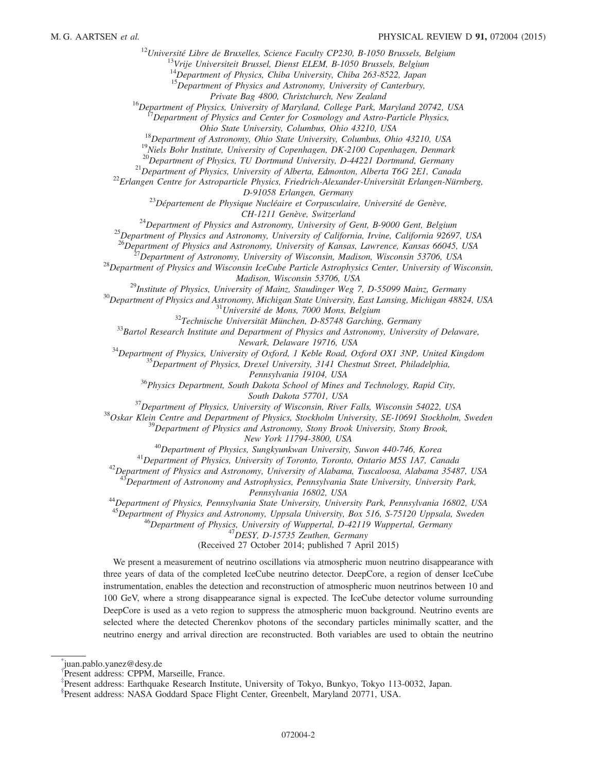<sup>12</sup>Université Libre de Bruxelles, Science Faculty CP230, B-1050 Brussels, Belgium <sup>13</sup>Vrije Universiteit Brussel, Dienst ELEM, B-1050 Brussels, Belgium

 $14$ Department of Physics, Chiba University, Chiba 263-8522, Japan

 $^{15}$ Department of Physics and Astronomy, University of Canterbury,<br>Private Bag 4800, Christchurch, New Zealand

<sup>16</sup>Department of Physics, University of Maryland, College Park, Maryland 20742, USA <sup>17</sup>Department of Physics and Center for Cosmology and Astro-Particle Physics,

Ohio State University, Columbus, Ohio 43210, USA<br><sup>18</sup>Department of Astronomy, Ohio State University, Columbus, Ohio 43210, USA<br><sup>19</sup>Niels Bohr Institute, University of Copenhagen, DK-2100 Copenhagen, Denmark<br><sup>20</sup>Department

<sup>21</sup>Department of Physics, University of Alberta, Edmonton, Alberta T6G 2E1, Canada<br><sup>22</sup>Erlangen Centre for Astroparticle Physics, Friedrich-Alexander-Universität Erlangen-Nürnberg,

 $D-91058$  Erlangen, Germany<br><sup>23</sup>Département de Physique Nucléaire et Corpusculaire, Université de Genève,

CH-1211 Genève, Switzerland<br><sup>24</sup>Department of Physics and Astronomy, University of Gent, B-9000 Gent, Belgium<br><sup>25</sup>Department of Physics and Astronomy, University of California, Irvine, California 92697, USA<br><sup>26</sup>Department

<sup>27</sup>Department of Astronomy, University of Wisconsin, Madison, Wisconsin 53706, USA<br><sup>28</sup>Department of Physics and Wisconsin IceCube Particle Astrophysics Center, University of Wisconsin,

Madison, Wisconsin 53706, USA<br><sup>29</sup>Institute of Physics, University of Mainz, Staudinger Weg 7, D-55099 Mainz, Germany<br><sup>30</sup>Department of Physics and Astronomy, Michigan State University, East Lansing, Michigan 48824, USA<br><sup>3</sup>

Newark, Delaware 19716, USA<br><sup>34</sup>Department of Physics, University of Oxford, 1 Keble Road, Oxford OX1 3NP, United Kingdom<br><sup>35</sup>Department of Physics, Drexel University, 3141 Chestnut Street, Philadelphia,

Pennsylvania 19104, USA<br><sup>36</sup>Physics Department, South Dakota School of Mines and Technology, Rapid City,

South Dakota 57701, USA<br><sup>37</sup> Department of Physics, University of Wisconsin, River Falls, Wisconsin 54022, USA<br><sup>38</sup> Oskar Klein Centre and Department of Physics, Stockholm University, SE-10691 Stockholm, Sweden<sup>39</sup> Departm

New York 11794-3800, USA<br><sup>40</sup>Department of Physics, Sungkyunkwan University, Suwon 440-746, Korea<br><sup>41</sup>Department of Physics, University of Toronto, Toronto, Ontario M5S 1A7, Canada<br><sup>42</sup>Department of Physics and Astronomy,

 ${}^{3}$ Department of Astronomy and Astrophysics, Pennsylvania State University, University Park,

Pennsylvania 16802, USA<br><sup>44</sup>Department of Physics, Pennsylvania State University, University Park, Pennsylvania 16802, USA

<sup>45</sup>Department of Physics and Astronomy, Uppsala University, Box 516, S-75120 Uppsala, Sweden <sup>46</sup>Department of Physics, University of Wuppertal, D-42119 Wuppertal, Germany <sup>47</sup>DESY, D-15735 Zeuthen, Germany

(Received 27 October 2014; published 7 April 2015)

We present a measurement of neutrino oscillations via atmospheric muon neutrino disappearance with three years of data of the completed IceCube neutrino detector. DeepCore, a region of denser IceCube instrumentation, enables the detection and reconstruction of atmospheric muon neutrinos between 10 and 100 GeV, where a strong disappearance signal is expected. The IceCube detector volume surrounding DeepCore is used as a veto region to suppress the atmospheric muon background. Neutrino events are selected where the detected Cherenkov photons of the secondary particles minimally scatter, and the neutrino energy and arrival direction are reconstructed. Both variables are used to obtain the neutrino

<span id="page-2-3"></span>[<sup>\\*</sup>](#page-1-0) juan.pablo.yanez@desy.de

<span id="page-2-0"></span>[<sup>†</sup>](#page-1-1) Present address: CPPM, Marseille, France.

<span id="page-2-1"></span>[<sup>‡</sup>](#page-1-3) Present address: Earthquake Research Institute, University of Tokyo, Bunkyo, Tokyo 113-0032, Japan.

<span id="page-2-2"></span>[<sup>§</sup>](#page-1-2) Present address: NASA Goddard Space Flight Center, Greenbelt, Maryland 20771, USA.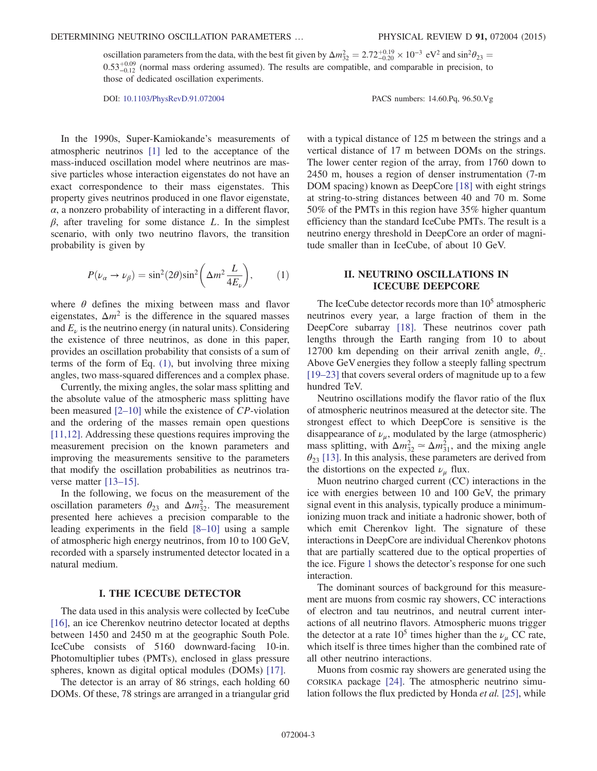oscillation parameters from the data, with the best fit given by  $\Delta m_{32}^2 = 2.72^{+0.19}_{-0.20} \times 10^{-3} \text{ eV}^2$  and  $\sin^2\theta_{23} =$  $0.53^{+0.09}_{-0.12}$  (normal mass ordering assumed). The results are compatible, and comparable in precision, to those of dedicated oscillation experiments.

DOI: [10.1103/PhysRevD.91.072004](http://dx.doi.org/10.1103/PhysRevD.91.072004)

In the 1990s, Super-Kamiokande's measurements of atmospheric neutrinos [\[1\]](#page-9-0) led to the acceptance of the mass-induced oscillation model where neutrinos are massive particles whose interaction eigenstates do not have an exact correspondence to their mass eigenstates. This property gives neutrinos produced in one flavor eigenstate,  $\alpha$ , a nonzero probability of interacting in a different flavor,  $\beta$ , after traveling for some distance L. In the simplest scenario, with only two neutrino flavors, the transition probability is given by

<span id="page-3-0"></span>
$$
P(\nu_{\alpha} \to \nu_{\beta}) = \sin^2(2\theta)\sin^2\left(\Delta m^2 \frac{L}{4E_{\nu}}\right),\tag{1}
$$

where  $\theta$  defines the mixing between mass and flavor eigenstates,  $\Delta m^2$  is the difference in the squared masses and  $E_{\nu}$  is the neutrino energy (in natural units). Considering the existence of three neutrinos, as done in this paper, provides an oscillation probability that consists of a sum of terms of the form of Eq. [\(1\)](#page-3-0), but involving three mixing angles, two mass-squared differences and a complex phase.

Currently, the mixing angles, the solar mass splitting and the absolute value of the atmospheric mass splitting have been measured [2–[10\]](#page-9-1) while the existence of CP-violation and the ordering of the masses remain open questions [\[11,12\]](#page-9-2). Addressing these questions requires improving the measurement precision on the known parameters and improving the measurements sensitive to the parameters that modify the oscillation probabilities as neutrinos tra-verse matter [\[13](#page-9-3)-15].

In the following, we focus on the measurement of the oscillation parameters  $\theta_{23}$  and  $\Delta m_{32}^2$ . The measurement presented here achieves a precision comparable to the leading experiments in the field [8–[10\]](#page-9-4) using a sample of atmospheric high energy neutrinos, from 10 to 100 GeV, recorded with a sparsely instrumented detector located in a natural medium.

#### I. THE ICECUBE DETECTOR

The data used in this analysis were collected by IceCube [\[16\]](#page-9-5), an ice Cherenkov neutrino detector located at depths between 1450 and 2450 m at the geographic South Pole. IceCube consists of 5160 downward-facing 10-in. Photomultiplier tubes (PMTs), enclosed in glass pressure spheres, known as digital optical modules (DOMs) [\[17\].](#page-9-6)

The detector is an array of 86 strings, each holding 60 DOMs. Of these, 78 strings are arranged in a triangular grid with a typical distance of 125 m between the strings and a vertical distance of 17 m between DOMs on the strings. The lower center region of the array, from 1760 down to 2450 m, houses a region of denser instrumentation (7-m DOM spacing) known as DeepCore [\[18\]](#page-9-7) with eight strings at string-to-string distances between 40 and 70 m. Some 50% of the PMTs in this region have 35% higher quantum efficiency than the standard IceCube PMTs. The result is a neutrino energy threshold in DeepCore an order of magnitude smaller than in IceCube, of about 10 GeV.

#### II. NEUTRINO OSCILLATIONS IN ICECUBE DEEPCORE

The IceCube detector records more than  $10<sup>5</sup>$  atmospheric neutrinos every year, a large fraction of them in the DeepCore subarray [\[18\]](#page-9-7). These neutrinos cover path lengths through the Earth ranging from 10 to about 12700 km depending on their arrival zenith angle,  $\theta_z$ . Above GeV energies they follow a steeply falling spectrum [\[19](#page-9-8)–23] that covers several orders of magnitude up to a few hundred TeV.

Neutrino oscillations modify the flavor ratio of the flux of atmospheric neutrinos measured at the detector site. The strongest effect to which DeepCore is sensitive is the disappearance of  $\nu_{\mu}$ , modulated by the large (atmospheric) mass splitting, with  $\Delta m_{32}^2 \simeq \Delta m_{31}^2$ , and the mixing angle  $\theta_{23}$  [\[13\].](#page-9-3) In this analysis, these parameters are derived from the distortions on the expected  $\nu_{\mu}$  flux.

Muon neutrino charged current (CC) interactions in the ice with energies between 10 and 100 GeV, the primary signal event in this analysis, typically produce a minimumionizing muon track and initiate a hadronic shower, both of which emit Cherenkov light. The signature of these interactions in DeepCore are individual Cherenkov photons that are partially scattered due to the optical properties of the ice. Figure [1](#page-4-0) shows the detector's response for one such interaction.

The dominant sources of background for this measurement are muons from cosmic ray showers, CC interactions of electron and tau neutrinos, and neutral current interactions of all neutrino flavors. Atmospheric muons trigger the detector at a rate  $10^5$  times higher than the  $\nu_\mu$  CC rate, which itself is three times higher than the combined rate of all other neutrino interactions.

Muons from cosmic ray showers are generated using the CORSIKA package [\[24\].](#page-9-9) The atmospheric neutrino simulation follows the flux predicted by Honda et al. [\[25\]](#page-9-10), while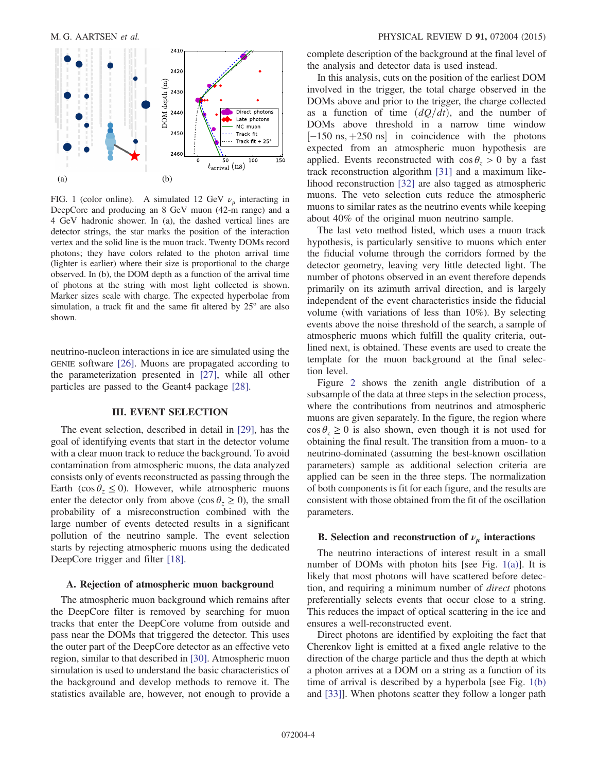<span id="page-4-0"></span>

FIG. 1 (color online). A simulated 12 GeV  $\nu_{\mu}$  interacting in DeepCore and producing an 8 GeV muon (42-m range) and a 4 GeV hadronic shower. In (a), the dashed vertical lines are detector strings, the star marks the position of the interaction vertex and the solid line is the muon track. Twenty DOMs record photons; they have colors related to the photon arrival time (lighter is earlier) where their size is proportional to the charge observed. In (b), the DOM depth as a function of the arrival time of photons at the string with most light collected is shown. Marker sizes scale with charge. The expected hyperbolae from simulation, a track fit and the same fit altered by 25° are also shown.

neutrino-nucleon interactions in ice are simulated using the GENIE software [\[26\].](#page-9-11) Muons are propagated according to the parameterization presented in [\[27\]](#page-9-12), while all other particles are passed to the Geant4 package [\[28\].](#page-9-13)

#### III. EVENT SELECTION

The event selection, described in detail in [\[29\],](#page-9-14) has the goal of identifying events that start in the detector volume with a clear muon track to reduce the background. To avoid contamination from atmospheric muons, the data analyzed consists only of events reconstructed as passing through the Earth (cos  $\theta_z \le 0$ ). However, while atmospheric muons enter the detector only from above (cos  $\theta_z \ge 0$ ), the small probability of a misreconstruction combined with the large number of events detected results in a significant pollution of the neutrino sample. The event selection starts by rejecting atmospheric muons using the dedicated DeepCore trigger and filter [\[18\]](#page-9-7).

#### A. Rejection of atmospheric muon background

The atmospheric muon background which remains after the DeepCore filter is removed by searching for muon tracks that enter the DeepCore volume from outside and pass near the DOMs that triggered the detector. This uses the outer part of the DeepCore detector as an effective veto region, similar to that described in [\[30\]](#page-9-15). Atmospheric muon simulation is used to understand the basic characteristics of the background and develop methods to remove it. The statistics available are, however, not enough to provide a complete description of the background at the final level of the analysis and detector data is used instead.

In this analysis, cuts on the position of the earliest DOM involved in the trigger, the total charge observed in the DOMs above and prior to the trigger, the charge collected as a function of time  $\frac{dQ}{dt}$ , and the number of DOMs above threshold in a narrow time window [-150 ns, +250 ns] in coincidence with the photons expected from an atmospheric muon hypothesis are applied. Events reconstructed with  $\cos \theta_z > 0$  by a fast track reconstruction algorithm [\[31\]](#page-9-16) and a maximum likelihood reconstruction [\[32\]](#page-9-17) are also tagged as atmospheric muons. The veto selection cuts reduce the atmospheric muons to similar rates as the neutrino events while keeping about 40% of the original muon neutrino sample.

The last veto method listed, which uses a muon track hypothesis, is particularly sensitive to muons which enter the fiducial volume through the corridors formed by the detector geometry, leaving very little detected light. The number of photons observed in an event therefore depends primarily on its azimuth arrival direction, and is largely independent of the event characteristics inside the fiducial volume (with variations of less than 10%). By selecting events above the noise threshold of the search, a sample of atmospheric muons which fulfill the quality criteria, outlined next, is obtained. These events are used to create the template for the muon background at the final selection level.

Figure [2](#page-5-0) shows the zenith angle distribution of a subsample of the data at three steps in the selection process, where the contributions from neutrinos and atmospheric muons are given separately. In the figure, the region where  $\cos \theta_z \ge 0$  is also shown, even though it is not used for obtaining the final result. The transition from a muon- to a neutrino-dominated (assuming the best-known oscillation parameters) sample as additional selection criteria are applied can be seen in the three steps. The normalization of both components is fit for each figure, and the results are consistent with those obtained from the fit of the oscillation parameters.

#### B. Selection and reconstruction of  $\nu_{\mu}$  interactions

The neutrino interactions of interest result in a small number of DOMs with photon hits [see Fig.  $1(a)$ ]. It is likely that most photons will have scattered before detection, and requiring a minimum number of direct photons preferentially selects events that occur close to a string. This reduces the impact of optical scattering in the ice and ensures a well-reconstructed event.

Direct photons are identified by exploiting the fact that Cherenkov light is emitted at a fixed angle relative to the direction of the charge particle and thus the depth at which a photon arrives at a DOM on a string as a function of its time of arrival is described by a hyperbola [see Fig. [1\(b\)](#page-4-0) and [\[33\]](#page-9-18)]. When photons scatter they follow a longer path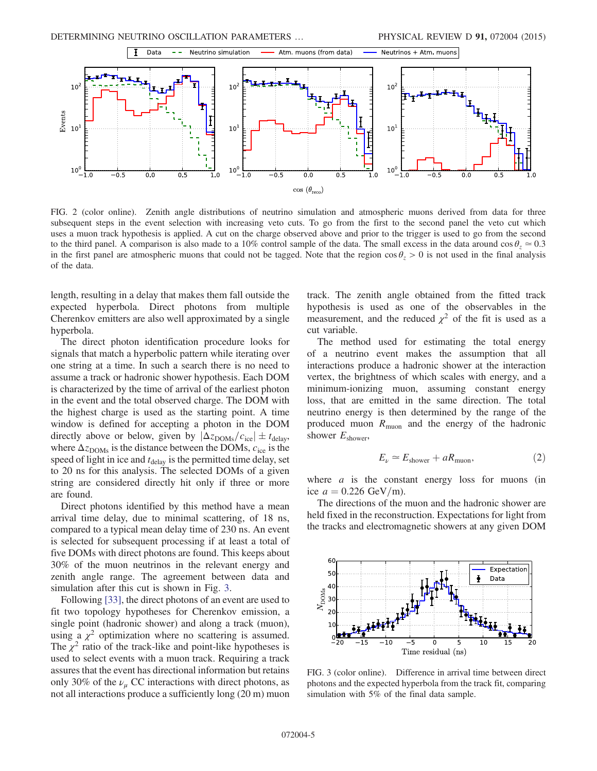<span id="page-5-0"></span>

FIG. 2 (color online). Zenith angle distributions of neutrino simulation and atmospheric muons derived from data for three subsequent steps in the event selection with increasing veto cuts. To go from the first to the second panel the veto cut which uses a muon track hypothesis is applied. A cut on the charge observed above and prior to the trigger is used to go from the second to the third panel. A comparison is also made to a 10% control sample of the data. The small excess in the data around  $\cos \theta_z \approx 0.3$ in the first panel are atmospheric muons that could not be tagged. Note that the region  $\cos \theta_z > 0$  is not used in the final analysis of the data.

length, resulting in a delay that makes them fall outside the expected hyperbola. Direct photons from multiple Cherenkov emitters are also well approximated by a single hyperbola.

The direct photon identification procedure looks for signals that match a hyperbolic pattern while iterating over one string at a time. In such a search there is no need to assume a track or hadronic shower hypothesis. Each DOM is characterized by the time of arrival of the earliest photon in the event and the total observed charge. The DOM with the highest charge is used as the starting point. A time window is defined for accepting a photon in the DOM directly above or below, given by  $|\Delta z_{\text{DOMs}}/c_{\text{ice}}| \pm t_{\text{delay}}$ , where  $\Delta z_{\text{DOMs}}$  is the distance between the DOMs,  $c_{\text{ice}}$  is the speed of light in ice and  $t_{\text{delay}}$  is the permitted time delay, set to 20 ns for this analysis. The selected DOMs of a given string are considered directly hit only if three or more are found.

Direct photons identified by this method have a mean arrival time delay, due to minimal scattering, of 18 ns, compared to a typical mean delay time of 230 ns. An event is selected for subsequent processing if at least a total of five DOMs with direct photons are found. This keeps about 30% of the muon neutrinos in the relevant energy and zenith angle range. The agreement between data and simulation after this cut is shown in Fig. [3](#page-5-1).

Following [\[33\]](#page-9-18), the direct photons of an event are used to fit two topology hypotheses for Cherenkov emission, a single point (hadronic shower) and along a track (muon), using a  $\chi^2$  optimization where no scattering is assumed. The  $\chi^2$  ratio of the track-like and point-like hypotheses is used to select events with a muon track. Requiring a track assures that the event has directional information but retains only 30% of the  $\nu_{\mu}$  CC interactions with direct photons, as not all interactions produce a sufficiently long (20 m) muon track. The zenith angle obtained from the fitted track hypothesis is used as one of the observables in the measurement, and the reduced  $\chi^2$  of the fit is used as a cut variable.

The method used for estimating the total energy of a neutrino event makes the assumption that all interactions produce a hadronic shower at the interaction vertex, the brightness of which scales with energy, and a minimum-ionizing muon, assuming constant energy loss, that are emitted in the same direction. The total neutrino energy is then determined by the range of the produced muon  $R_{\text{muon}}$  and the energy of the hadronic shower  $E_{\text{shower}}$ ,

$$
E_{\nu} \simeq E_{\text{shower}} + aR_{\text{muon}},\tag{2}
$$

<span id="page-5-2"></span>where  $a$  is the constant energy loss for muons (in ice  $a = 0.226 \text{ GeV/m}$ .

The directions of the muon and the hadronic shower are held fixed in the reconstruction. Expectations for light from the tracks and electromagnetic showers at any given DOM

<span id="page-5-1"></span>

FIG. 3 (color online). Difference in arrival time between direct photons and the expected hyperbola from the track fit, comparing simulation with 5% of the final data sample.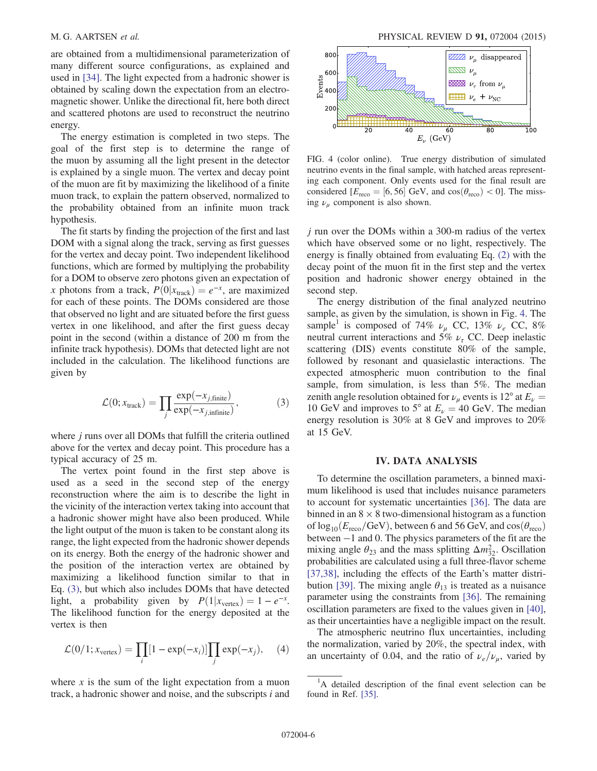are obtained from a multidimensional parameterization of many different source configurations, as explained and used in [\[34\]](#page-9-19). The light expected from a hadronic shower is obtained by scaling down the expectation from an electromagnetic shower. Unlike the directional fit, here both direct and scattered photons are used to reconstruct the neutrino energy.

The energy estimation is completed in two steps. The goal of the first step is to determine the range of the muon by assuming all the light present in the detector is explained by a single muon. The vertex and decay point of the muon are fit by maximizing the likelihood of a finite muon track, to explain the pattern observed, normalized to the probability obtained from an infinite muon track hypothesis.

The fit starts by finding the projection of the first and last DOM with a signal along the track, serving as first guesses for the vertex and decay point. Two independent likelihood functions, which are formed by multiplying the probability for a DOM to observe zero photons given an expectation of x photons from a track,  $P(0|x_{\text{track}}) = e^{-x}$ , are maximized for each of these points. The DOMs considered are those that observed no light and are situated before the first guess vertex in one likelihood, and after the first guess decay point in the second (within a distance of 200 m from the infinite track hypothesis). DOMs that detected light are not included in the calculation. The likelihood functions are given by

<span id="page-6-0"></span>
$$
\mathcal{L}(0; x_{\text{track}}) = \prod_{j} \frac{\exp(-x_{j,\text{finite}})}{\exp(-x_{j,\text{infinite}})},
$$
\n(3)

where *j* runs over all DOMs that fulfill the criteria outlined above for the vertex and decay point. This procedure has a typical accuracy of 25 m.

The vertex point found in the first step above is used as a seed in the second step of the energy reconstruction where the aim is to describe the light in the vicinity of the interaction vertex taking into account that a hadronic shower might have also been produced. While the light output of the muon is taken to be constant along its range, the light expected from the hadronic shower depends on its energy. Both the energy of the hadronic shower and the position of the interaction vertex are obtained by maximizing a likelihood function similar to that in Eq. [\(3\)](#page-6-0), but which also includes DOMs that have detected light, a probability given by  $P(1|x_{\text{vertex}}) = 1 - e^{-x}$ . The likelihood function for the energy deposited at the vertex is then

$$
\mathcal{L}(0/1; x_{\text{vertex}}) = \prod_{i} [1 - \exp(-x_i)] \prod_{j} \exp(-x_j), \quad (4)
$$

where  $x$  is the sum of the light expectation from a muon track, a hadronic shower and noise, and the subscripts  $i$  and

<span id="page-6-1"></span>

FIG. 4 (color online). True energy distribution of simulated neutrino events in the final sample, with hatched areas representing each component. Only events used for the final result are considered  $\left[\hat{E}_{\text{reco}} = [6, 56\right] \text{GeV}$ , and  $\cos(\theta_{\text{reco}}) < 0$ . The missing  $\nu_{\mu}$  component is also shown.

j run over the DOMs within a 300-m radius of the vertex which have observed some or no light, respectively. The energy is finally obtained from evaluating Eq. [\(2\)](#page-5-2) with the decay point of the muon fit in the first step and the vertex position and hadronic shower energy obtained in the second step.

The energy distribution of the final analyzed neutrino sample, as given by the simulation, is shown in Fig. [4.](#page-6-1) The sample<sup>1</sup> is composed of 74%  $\nu_{\mu}$  CC, 13%  $\nu_{e}$  CC, 8% neutral current interactions and 5%  $\nu_{\tau}$  CC. Deep inelastic scattering (DIS) events constitute 80% of the sample, followed by resonant and quasielastic interactions. The expected atmospheric muon contribution to the final sample, from simulation, is less than 5%. The median zenith angle resolution obtained for  $\nu_{\mu}$  events is 12° at  $E_{\nu}$  = 10 GeV and improves to 5° at  $E<sub>\nu</sub> = 40$  GeV. The median energy resolution is 30% at 8 GeV and improves to 20% at 15 GeV.

#### IV. DATA ANALYSIS

To determine the oscillation parameters, a binned maximum likelihood is used that includes nuisance parameters to account for systematic uncertainties [\[36\]](#page-10-0). The data are binned in an  $8 \times 8$  two-dimensional histogram as a function of  $\log_{10}(E_{\text{reco}}/\text{GeV})$ , between 6 and 56 GeV, and  $\cos(\theta_{\text{reco}})$ between −1 and 0. The physics parameters of the fit are the mixing angle  $\theta_{23}$  and the mass splitting  $\Delta m_{32}^2$ . Oscillation probabilities are calculated using a full three-flavor scheme [\[37,38\]](#page-10-1), including the effects of the Earth's matter distri-bution [\[39\]](#page-10-2). The mixing angle  $\theta_{13}$  is treated as a nuisance parameter using the constraints from [\[36\].](#page-10-0) The remaining oscillation parameters are fixed to the values given in [\[40\]](#page-10-3), as their uncertainties have a negligible impact on the result.

The atmospheric neutrino flux uncertainties, including the normalization, varied by 20%, the spectral index, with an uncertainty of 0.04, and the ratio of  $\nu_e/\nu_u$ , varied by

<sup>&</sup>lt;sup>1</sup>A detailed description of the final event selection can be found in Ref. [\[35\]](#page-9-20).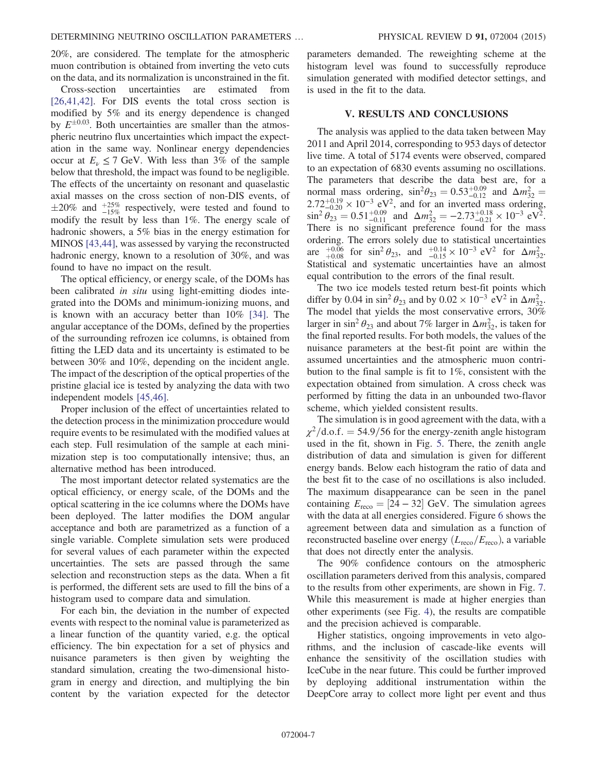20%, are considered. The template for the atmospheric muon contribution is obtained from inverting the veto cuts on the data, and its normalization is unconstrained in the fit.

Cross-section uncertainties are estimated from [\[26,41,42\]](#page-9-11). For DIS events the total cross section is modified by 5% and its energy dependence is changed by  $E^{\pm 0.03}$ . Both uncertainties are smaller than the atmospheric neutrino flux uncertainties which impact the expectation in the same way. Nonlinear energy dependencies occur at  $E_v \le 7$  GeV. With less than 3% of the sample below that threshold, the impact was found to be negligible. The effects of the uncertainty on resonant and quaselastic axial masses on the cross section of non-DIS events, of  $\pm 20\%$  and  $^{+25\%}_{-15\%}$  respectively, were tested and found to modify the result by less than 1%. The energy scale of hadronic showers, a 5% bias in the energy estimation for MINOS [\[43,44\]](#page-10-4), was assessed by varying the reconstructed hadronic energy, known to a resolution of 30%, and was found to have no impact on the result.

The optical efficiency, or energy scale, of the DOMs has been calibrated *in situ* using light-emitting diodes integrated into the DOMs and minimum-ionizing muons, and is known with an accuracy better than 10% [\[34\].](#page-9-19) The angular acceptance of the DOMs, defined by the properties of the surrounding refrozen ice columns, is obtained from fitting the LED data and its uncertainty is estimated to be between 30% and 10%, depending on the incident angle. The impact of the description of the optical properties of the pristine glacial ice is tested by analyzing the data with two independent models [\[45,46\].](#page-10-5)

Proper inclusion of the effect of uncertainties related to the detection process in the minimization proccedure would require events to be resimulated with the modified values at each step. Full resimulation of the sample at each minimization step is too computationally intensive; thus, an alternative method has been introduced.

The most important detector related systematics are the optical efficiency, or energy scale, of the DOMs and the optical scattering in the ice columns where the DOMs have been deployed. The latter modifies the DOM angular acceptance and both are parametrized as a function of a single variable. Complete simulation sets were produced for several values of each parameter within the expected uncertainties. The sets are passed through the same selection and reconstruction steps as the data. When a fit is performed, the different sets are used to fill the bins of a histogram used to compare data and simulation.

For each bin, the deviation in the number of expected events with respect to the nominal value is parameterized as a linear function of the quantity varied, e.g. the optical efficiency. The bin expectation for a set of physics and nuisance parameters is then given by weighting the standard simulation, creating the two-dimensional histogram in energy and direction, and multiplying the bin content by the variation expected for the detector parameters demanded. The reweighting scheme at the histogram level was found to successfully reproduce simulation generated with modified detector settings, and is used in the fit to the data.

#### V. RESULTS AND CONCLUSIONS

The analysis was applied to the data taken between May 2011 and April 2014, corresponding to 953 days of detector live time. A total of 5174 events were observed, compared to an expectation of 6830 events assuming no oscillations. The parameters that describe the data best are, for a normal mass ordering,  $\sin^2\theta_{23} = 0.53^{+0.09}_{-0.12}$  and  $\Delta m_{32}^2 =$ normal mass ordering,  $\sin^2\theta_{23} = 0.53^{+0.12}_{-0.12}$  and  $\Delta m_{32}^2 = 2.72^{+0.19}_{-0.20} \times 10^{-3}$  eV<sup>2</sup>, and for an inverted mass ordering,  $\sin^2 \theta_{23} = 0.51_{-0.11}^{+0.09}$  and  $\Delta m_{32}^2 = -2.73_{-0.21}^{+0.18} \times 10^{-3}$  eV<sup>2</sup>. There is no significant preference found for the mass ordering. The errors solely due to statistical uncertainties are  $+0.06$  for sin<sup>2</sup>  $\theta_{23}$ , and  $+0.14 \times 10^{-3}$  eV<sup>2</sup> for  $\Delta m_{32}^2$ . Statistical and systematic uncertainties have an almost equal contribution to the errors of the final result.

The two ice models tested return best-fit points which differ by 0.04 in  $\sin^2 \theta_{23}$  and by  $0.02 \times 10^{-3}$  eV<sup>2</sup> in  $\Delta m_{32}^2$ . The model that yields the most conservative errors, 30% larger in sin<sup>2</sup>  $\theta_{23}$  and about 7% larger in  $\Delta m_{32}^2$ , is taken for the final reported results. For both models, the values of the nuisance parameters at the best-fit point are within the assumed uncertainties and the atmospheric muon contribution to the final sample is fit to 1%, consistent with the expectation obtained from simulation. A cross check was performed by fitting the data in an unbounded two-flavor scheme, which yielded consistent results.

The simulation is in good agreement with the data, with a  $\chi^2/\text{d.o.f.} = 54.9/56$  for the energy-zenith angle histogram used in the fit, shown in Fig. [5](#page-8-0). There, the zenith angle distribution of data and simulation is given for different energy bands. Below each histogram the ratio of data and the best fit to the case of no oscillations is also included. The maximum disappearance can be seen in the panel containing  $E_{\text{reco}} = [24 - 32] \text{ GeV}$ . The simulation agrees with the data at all energies considered. Figure [6](#page-8-1) shows the agreement between data and simulation as a function of reconstructed baseline over energy  $(L_{\text{reco}}/E_{\text{reco}})$ , a variable that does not directly enter the analysis.

The 90% confidence contours on the atmospheric oscillation parameters derived from this analysis, compared to the results from other experiments, are shown in Fig. [7](#page-8-2). While this measurement is made at higher energies than other experiments (see Fig. [4](#page-6-1)), the results are compatible and the precision achieved is comparable.

Higher statistics, ongoing improvements in veto algorithms, and the inclusion of cascade-like events will enhance the sensitivity of the oscillation studies with IceCube in the near future. This could be further improved by deploying additional instrumentation within the DeepCore array to collect more light per event and thus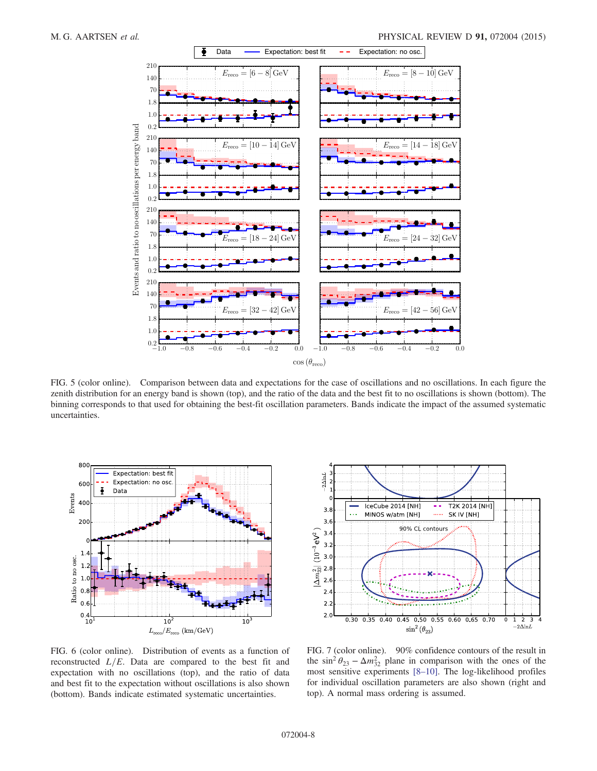<span id="page-8-0"></span>

FIG. 5 (color online). Comparison between data and expectations for the case of oscillations and no oscillations. In each figure the zenith distribution for an energy band is shown (top), and the ratio of the data and the best fit to no oscillations is shown (bottom). The binning corresponds to that used for obtaining the best-fit oscillation parameters. Bands indicate the impact of the assumed systematic uncertainties.

<span id="page-8-1"></span>

 $-2\Delta$ lnL IceCube 2014 [NH] T2K 2014 [NH]  $3.8$ MINOS w/atm [NH] SK IV [NH] m  $3.6$ 90% CL contours  $3.0$  $2.4$  $2.2$  $\begin{array}{ccccccccccc}\n0.4 & \textcolor{red}{\bigcup_{10}^{1}} & \textcolor{red}{\bigcup_{10}^{2}} & \textcolor{red}{\bigcup_{10}^{3}} & \textcolor{red}{\bigcup_{10}^{3}} & \textcolor{red}{\bigcup_{10}^{3}} & \textcolor{red}{\bigcup_{10}^{3}} & \textcolor{red}{\bigcup_{10}^{3}} & \textcolor{red}{\bigcup_{10}^{3}} & \textcolor{red}{\bigcup_{10}^{3}} & \textcolor{red}{\bigcup_{10}^{3}} & \textcolor{red}{\bigcup_{10}^{3}} & \textcolor{red}{\bigcup_{10}^{3}} & \text$ 

FIG. 6 (color online). Distribution of events as a function of reconstructed  $L/E$ . Data are compared to the best fit and expectation with no oscillations (top), and the ratio of data and best fit to the expectation without oscillations is also shown (bottom). Bands indicate estimated systematic uncertainties.

<span id="page-8-2"></span>FIG. 7 (color online). 90% confidence contours of the result in the  $\sin^2 \theta_{23} - \Delta m_{32}^2$  plane in comparison with the ones of the most sensitive experiments [8–[10\]](#page-9-4). The log-likelihood profiles for individual oscillation parameters are also shown (right and top). A normal mass ordering is assumed.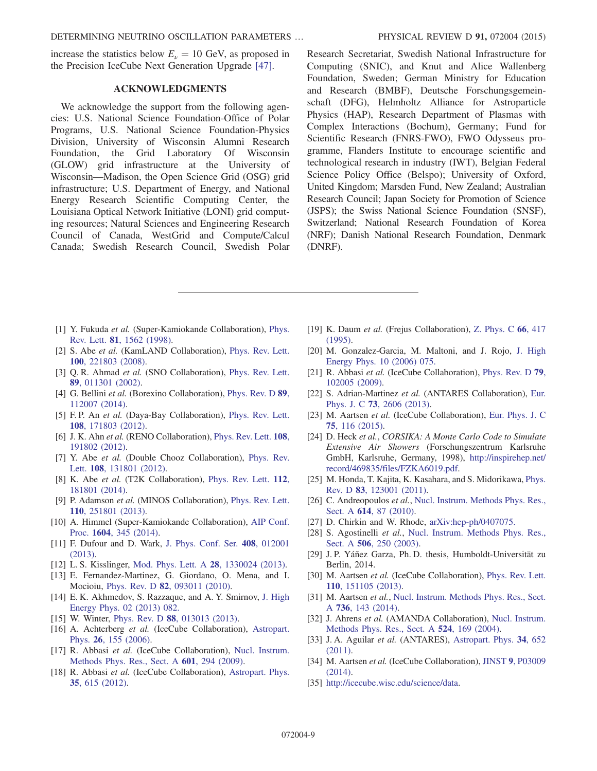increase the statistics below  $E<sub>v</sub> = 10$  GeV, as proposed in the Precision IceCube Next Generation Upgrade [\[47\]](#page-10-6).

#### ACKNOWLEDGMENTS

We acknowledge the support from the following agencies: U.S. National Science Foundation-Office of Polar Programs, U.S. National Science Foundation-Physics Division, University of Wisconsin Alumni Research Foundation, the Grid Laboratory Of Wisconsin (GLOW) grid infrastructure at the University of Wisconsin—Madison, the Open Science Grid (OSG) grid infrastructure; U.S. Department of Energy, and National Energy Research Scientific Computing Center, the Louisiana Optical Network Initiative (LONI) grid computing resources; Natural Sciences and Engineering Research Council of Canada, WestGrid and Compute/Calcul Canada; Swedish Research Council, Swedish Polar Research Secretariat, Swedish National Infrastructure for Computing (SNIC), and Knut and Alice Wallenberg Foundation, Sweden; German Ministry for Education and Research (BMBF), Deutsche Forschungsgemeinschaft (DFG), Helmholtz Alliance for Astroparticle Physics (HAP), Research Department of Plasmas with Complex Interactions (Bochum), Germany; Fund for Scientific Research (FNRS-FWO), FWO Odysseus programme, Flanders Institute to encourage scientific and technological research in industry (IWT), Belgian Federal Science Policy Office (Belspo); University of Oxford, United Kingdom; Marsden Fund, New Zealand; Australian Research Council; Japan Society for Promotion of Science (JSPS); the Swiss National Science Foundation (SNSF), Switzerland; National Research Foundation of Korea (NRF); Danish National Research Foundation, Denmark (DNRF).

- <span id="page-9-0"></span>[1] Y. Fukuda et al. (Super-Kamiokande Collaboration), [Phys.](http://dx.doi.org/10.1103/PhysRevLett.81.1562) Rev. Lett. 81[, 1562 \(1998\)](http://dx.doi.org/10.1103/PhysRevLett.81.1562).
- <span id="page-9-1"></span>[2] S. Abe et al. (KamLAND Collaboration), [Phys. Rev. Lett.](http://dx.doi.org/10.1103/PhysRevLett.100.221803) 100[, 221803 \(2008\).](http://dx.doi.org/10.1103/PhysRevLett.100.221803)
- [3] Q. R. Ahmad et al. (SNO Collaboration), [Phys. Rev. Lett.](http://dx.doi.org/10.1103/PhysRevLett.89.011301) 89[, 011301 \(2002\).](http://dx.doi.org/10.1103/PhysRevLett.89.011301)
- [4] G. Bellini et al. (Borexino Collaboration), [Phys. Rev. D](http://dx.doi.org/10.1103/PhysRevD.89.112007) 89, [112007 \(2014\).](http://dx.doi.org/10.1103/PhysRevD.89.112007)
- [5] F. P. An et al. (Daya-Bay Collaboration), [Phys. Rev. Lett.](http://dx.doi.org/10.1103/PhysRevLett.108.171803) 108[, 171803 \(2012\).](http://dx.doi.org/10.1103/PhysRevLett.108.171803)
- [6] J. K. Ahn et al. (RENO Collaboration), [Phys. Rev. Lett.](http://dx.doi.org/10.1103/PhysRevLett.108.191802) 108, [191802 \(2012\).](http://dx.doi.org/10.1103/PhysRevLett.108.191802)
- [7] Y. Abe et al. (Double Chooz Collaboration), [Phys. Rev.](http://dx.doi.org/10.1103/PhysRevLett.108.131801) Lett. 108[, 131801 \(2012\)](http://dx.doi.org/10.1103/PhysRevLett.108.131801).
- <span id="page-9-4"></span>[8] K. Abe et al. (T2K Collaboration), [Phys. Rev. Lett.](http://dx.doi.org/10.1103/PhysRevLett.112.181801) 112, [181801 \(2014\).](http://dx.doi.org/10.1103/PhysRevLett.112.181801)
- [9] P. Adamson et al. (MINOS Collaboration), [Phys. Rev. Lett.](http://dx.doi.org/10.1103/PhysRevLett.110.251801) 110[, 251801 \(2013\).](http://dx.doi.org/10.1103/PhysRevLett.110.251801)
- [10] A. Himmel (Super-Kamiokande Collaboration), [AIP Conf.](http://dx.doi.org/10.1063/1.4883450) Proc. 1604[, 345 \(2014\)](http://dx.doi.org/10.1063/1.4883450).
- <span id="page-9-2"></span>[11] F. Dufour and D. Wark, [J. Phys. Conf. Ser.](http://dx.doi.org/10.1088/1742-6596/408/1/012001) 408, 012001 [\(2013\).](http://dx.doi.org/10.1088/1742-6596/408/1/012001)
- [12] L. S. Kisslinger, [Mod. Phys. Lett. A](http://dx.doi.org/10.1142/S0217732313300243) **28**, 1330024 (2013).
- <span id="page-9-3"></span>[13] E. Fernandez-Martinez, G. Giordano, O. Mena, and I. Mocioiu, Phys. Rev. D 82[, 093011 \(2010\)](http://dx.doi.org/10.1103/PhysRevD.82.093011).
- [14] E. K. Akhmedov, S. Razzaque, and A. Y. Smirnov, [J. High](http://dx.doi.org/10.1007/JHEP02(2013)082) [Energy Phys. 02 \(2013\) 082.](http://dx.doi.org/10.1007/JHEP02(2013)082)
- [15] W. Winter, Phys. Rev. D 88[, 013013 \(2013\)](http://dx.doi.org/10.1103/PhysRevD.88.013013).
- <span id="page-9-5"></span>[16] A. Achterberg et al. (IceCube Collaboration), [Astropart.](http://dx.doi.org/10.1016/j.astropartphys.2006.06.007) Phys. 26[, 155 \(2006\).](http://dx.doi.org/10.1016/j.astropartphys.2006.06.007)
- <span id="page-9-6"></span>[17] R. Abbasi et al. (IceCube Collaboration), [Nucl. Instrum.](http://dx.doi.org/10.1016/j.nima.2009.01.001) [Methods Phys. Res., Sect. A](http://dx.doi.org/10.1016/j.nima.2009.01.001) 601, 294 (2009).
- <span id="page-9-7"></span>[18] R. Abbasi et al. (IceCube Collaboration), [Astropart. Phys.](http://dx.doi.org/10.1016/j.astropartphys.2012.01.004) 35[, 615 \(2012\).](http://dx.doi.org/10.1016/j.astropartphys.2012.01.004)
- <span id="page-9-8"></span>[19] K. Daum et al. (Frejus Collaboration), [Z. Phys. C](http://dx.doi.org/10.1007/BF01556368) 66, 417 [\(1995\).](http://dx.doi.org/10.1007/BF01556368)
- [20] M. Gonzalez-Garcia, M. Maltoni, and J. Rojo, [J. High](http://dx.doi.org/10.1088/1126-6708/2006/10/075) [Energy Phys. 10 \(2006\) 075.](http://dx.doi.org/10.1088/1126-6708/2006/10/075)
- [21] R. Abbasi et al. (IceCube Collaboration), [Phys. Rev. D](http://dx.doi.org/10.1103/PhysRevD.79.102005) 79, [102005 \(2009\).](http://dx.doi.org/10.1103/PhysRevD.79.102005)
- [22] S. Adrian-Martinez et al. (ANTARES Collaboration), [Eur.](http://dx.doi.org/10.1140/epjc/s10052-013-2606-4) Phys. J. C 73[, 2606 \(2013\).](http://dx.doi.org/10.1140/epjc/s10052-013-2606-4)
- [23] M. Aartsen et al. (IceCube Collaboration), [Eur. Phys. J. C](http://dx.doi.org/10.1140/epjc/s10052-015-3330-z) 75[, 116 \(2015\).](http://dx.doi.org/10.1140/epjc/s10052-015-3330-z)
- <span id="page-9-9"></span>[24] D. Heck et al., CORSIKA: A Monte Carlo Code to Simulate Extensive Air Showers (Forschungszentrum Karlsruhe GmbH, Karlsruhe, Germany, 1998), [http://inspirehep.net/](http://inspirehep.net/record/469835/files/FZKA6019.pdf) [record/469835/files/FZKA6019.pdf.](http://inspirehep.net/record/469835/files/FZKA6019.pdf)
- <span id="page-9-10"></span>[25] M. Honda, T. Kajita, K. Kasahara, and S. Midorikawa, [Phys.](http://dx.doi.org/10.1103/PhysRevD.83.123001) Rev. D 83[, 123001 \(2011\)](http://dx.doi.org/10.1103/PhysRevD.83.123001).
- <span id="page-9-11"></span>[26] C. Andreopoulos et al., [Nucl. Instrum. Methods Phys. Res.,](http://dx.doi.org/10.1016/j.nima.2009.12.009) Sect. A 614[, 87 \(2010\).](http://dx.doi.org/10.1016/j.nima.2009.12.009)
- <span id="page-9-12"></span>[27] D. Chirkin and W. Rhode, [arXiv:hep-ph/0407075.](http://arXiv.org/abs/hep-ph/0407075)
- <span id="page-9-13"></span>[28] S. Agostinelli et al., [Nucl. Instrum. Methods Phys. Res.,](http://dx.doi.org/10.1016/S0168-9002(03)01368-8) Sect. A **506**[, 250 \(2003\)](http://dx.doi.org/10.1016/S0168-9002(03)01368-8).
- <span id="page-9-14"></span>[29] J. P. Yáñez Garza, Ph. D. thesis, Humboldt-Universität zu Berlin, 2014.
- <span id="page-9-15"></span>[30] M. Aartsen et al. (IceCube Collaboration), [Phys. Rev. Lett.](http://dx.doi.org/10.1103/PhysRevLett.110.151105) 110[, 151105 \(2013\).](http://dx.doi.org/10.1103/PhysRevLett.110.151105)
- <span id="page-9-16"></span>[31] M. Aartsen et al., [Nucl. Instrum. Methods Phys. Res., Sect.](http://dx.doi.org/10.1016/j.nima.2013.10.074) A 736[, 143 \(2014\).](http://dx.doi.org/10.1016/j.nima.2013.10.074)
- <span id="page-9-17"></span>[32] J. Ahrens *et al.* (AMANDA Collaboration), [Nucl. Instrum.](http://dx.doi.org/10.1016/j.nima.2004.01.065) [Methods Phys. Res., Sect. A](http://dx.doi.org/10.1016/j.nima.2004.01.065) 524, 169 (2004).
- <span id="page-9-18"></span>[33] J. A. Aguilar et al. (ANTARES), [Astropart. Phys.](http://dx.doi.org/10.1016/j.astropartphys.2011.01.003) 34, 652 [\(2011\).](http://dx.doi.org/10.1016/j.astropartphys.2011.01.003)
- <span id="page-9-19"></span>[34] M. Aartsen et al. (IceCube Collaboration), JINST 9[, P03009](http://dx.doi.org/10.1088/1748-0221/9/03/P03009) [\(2014\).](http://dx.doi.org/10.1088/1748-0221/9/03/P03009)
- <span id="page-9-20"></span>[35] [http://icecube.wisc.edu/science/data.](http://icecube.wisc.edu/science/data)